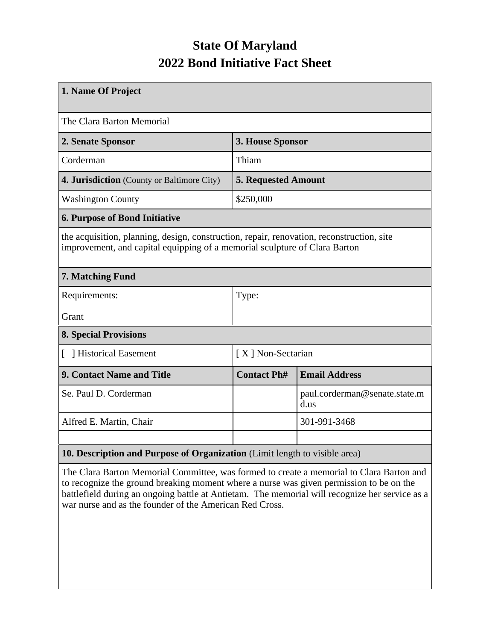## **State Of Maryland 2022 Bond Initiative Fact Sheet**

| 1. Name Of Project                                                                                                                                                      |                            |                                       |  |  |  |  |  |
|-------------------------------------------------------------------------------------------------------------------------------------------------------------------------|----------------------------|---------------------------------------|--|--|--|--|--|
| The Clara Barton Memorial                                                                                                                                               |                            |                                       |  |  |  |  |  |
| 2. Senate Sponsor                                                                                                                                                       | 3. House Sponsor           |                                       |  |  |  |  |  |
| Corderman                                                                                                                                                               | Thiam                      |                                       |  |  |  |  |  |
| 4. Jurisdiction (County or Baltimore City)                                                                                                                              | <b>5. Requested Amount</b> |                                       |  |  |  |  |  |
| <b>Washington County</b>                                                                                                                                                | \$250,000                  |                                       |  |  |  |  |  |
| <b>6. Purpose of Bond Initiative</b>                                                                                                                                    |                            |                                       |  |  |  |  |  |
| the acquisition, planning, design, construction, repair, renovation, reconstruction, site<br>improvement, and capital equipping of a memorial sculpture of Clara Barton |                            |                                       |  |  |  |  |  |
| 7. Matching Fund                                                                                                                                                        |                            |                                       |  |  |  |  |  |
| Requirements:                                                                                                                                                           | Type:                      |                                       |  |  |  |  |  |
| Grant                                                                                                                                                                   |                            |                                       |  |  |  |  |  |
| <b>8. Special Provisions</b>                                                                                                                                            |                            |                                       |  |  |  |  |  |
| [ ] Historical Easement                                                                                                                                                 | [X] Non-Sectarian          |                                       |  |  |  |  |  |
| <b>9. Contact Name and Title</b>                                                                                                                                        | <b>Contact Ph#</b>         | <b>Email Address</b>                  |  |  |  |  |  |
| Se. Paul D. Corderman                                                                                                                                                   |                            | paul.corderman@senate.state.m<br>d.us |  |  |  |  |  |
| Alfred E. Martin, Chair                                                                                                                                                 |                            | 301-991-3468                          |  |  |  |  |  |
|                                                                                                                                                                         |                            |                                       |  |  |  |  |  |
| 10. Description and Purpose of Organization (Limit length to visible area)                                                                                              |                            |                                       |  |  |  |  |  |

The Clara Barton Memorial Committee, was formed to create a memorial to Clara Barton and to recognize the ground breaking moment where a nurse was given permission to be on the battlefield during an ongoing battle at Antietam. The memorial will recognize her service as a war nurse and as the founder of the American Red Cross.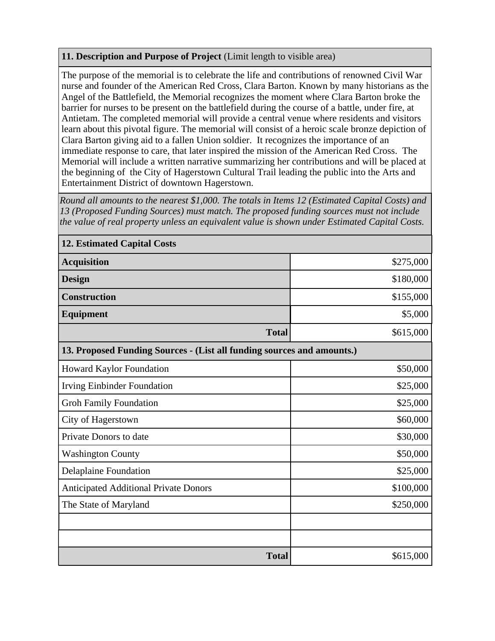## **11. Description and Purpose of Project** (Limit length to visible area)

The purpose of the memorial is to celebrate the life and contributions of renowned Civil War nurse and founder of the American Red Cross, Clara Barton. Known by many historians as the Angel of the Battlefield, the Memorial recognizes the moment where Clara Barton broke the barrier for nurses to be present on the battlefield during the course of a battle, under fire, at Antietam. The completed memorial will provide a central venue where residents and visitors learn about this pivotal figure. The memorial will consist of a heroic scale bronze depiction of Clara Barton giving aid to a fallen Union soldier. It recognizes the importance of an immediate response to care, that later inspired the mission of the American Red Cross. The Memorial will include a written narrative summarizing her contributions and will be placed at the beginning of the City of Hagerstown Cultural Trail leading the public into the Arts and Entertainment District of downtown Hagerstown.

*Round all amounts to the nearest \$1,000. The totals in Items 12 (Estimated Capital Costs) and 13 (Proposed Funding Sources) must match. The proposed funding sources must not include the value of real property unless an equivalent value is shown under Estimated Capital Costs.*

| <b>12. Estimated Capital Costs</b>                                     |           |  |  |  |  |  |
|------------------------------------------------------------------------|-----------|--|--|--|--|--|
| <b>Acquisition</b>                                                     | \$275,000 |  |  |  |  |  |
| <b>Design</b>                                                          | \$180,000 |  |  |  |  |  |
| <b>Construction</b>                                                    | \$155,000 |  |  |  |  |  |
| <b>Equipment</b>                                                       | \$5,000   |  |  |  |  |  |
| <b>Total</b>                                                           | \$615,000 |  |  |  |  |  |
| 13. Proposed Funding Sources - (List all funding sources and amounts.) |           |  |  |  |  |  |
| Howard Kaylor Foundation                                               | \$50,000  |  |  |  |  |  |
| <b>Irving Einbinder Foundation</b>                                     | \$25,000  |  |  |  |  |  |
| <b>Groh Family Foundation</b>                                          | \$25,000  |  |  |  |  |  |
| City of Hagerstown                                                     | \$60,000  |  |  |  |  |  |
| Private Donors to date                                                 | \$30,000  |  |  |  |  |  |
| <b>Washington County</b>                                               | \$50,000  |  |  |  |  |  |
| <b>Delaplaine Foundation</b>                                           | \$25,000  |  |  |  |  |  |
| <b>Anticipated Additional Private Donors</b>                           | \$100,000 |  |  |  |  |  |
| The State of Maryland                                                  | \$250,000 |  |  |  |  |  |
|                                                                        |           |  |  |  |  |  |
|                                                                        |           |  |  |  |  |  |
| <b>Total</b>                                                           | \$615,000 |  |  |  |  |  |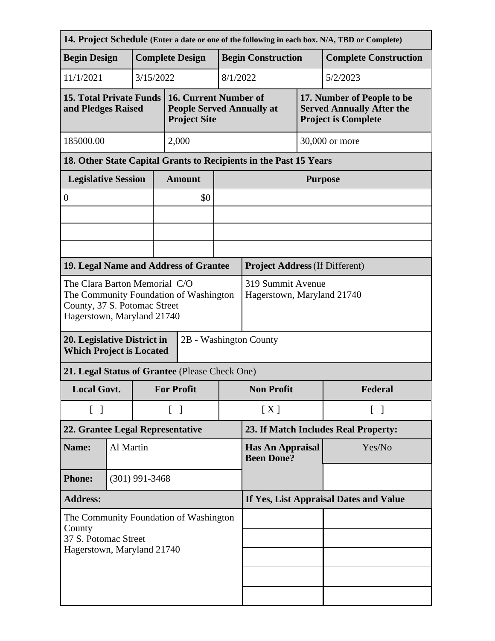| 14. Project Schedule (Enter a date or one of the following in each box. N/A, TBD or Complete)                                         |                            |                  |                                                 |                                                                                  |                                              |                                                                   |                |                                                                |  |
|---------------------------------------------------------------------------------------------------------------------------------------|----------------------------|------------------|-------------------------------------------------|----------------------------------------------------------------------------------|----------------------------------------------|-------------------------------------------------------------------|----------------|----------------------------------------------------------------|--|
| <b>Begin Design</b>                                                                                                                   |                            |                  |                                                 | <b>Complete Design</b>                                                           |                                              | <b>Begin Construction</b>                                         |                | <b>Complete Construction</b>                                   |  |
| 11/1/2021                                                                                                                             |                            |                  | 3/15/2022                                       |                                                                                  | 8/1/2022                                     |                                                                   |                | 5/2/2023                                                       |  |
| <b>15. Total Private Funds</b><br>and Pledges Raised                                                                                  |                            |                  |                                                 | 16. Current Number of<br><b>People Served Annually at</b><br><b>Project Site</b> |                                              | <b>Project is Complete</b>                                        |                | 17. Number of People to be<br><b>Served Annually After the</b> |  |
| 185000.00                                                                                                                             |                            |                  |                                                 | 2,000                                                                            |                                              |                                                                   | 30,000 or more |                                                                |  |
|                                                                                                                                       |                            |                  |                                                 |                                                                                  |                                              | 18. Other State Capital Grants to Recipients in the Past 15 Years |                |                                                                |  |
|                                                                                                                                       | <b>Legislative Session</b> |                  |                                                 | <b>Amount</b>                                                                    |                                              | <b>Purpose</b>                                                    |                |                                                                |  |
| $\boldsymbol{0}$                                                                                                                      |                            |                  |                                                 | \$0                                                                              |                                              |                                                                   |                |                                                                |  |
|                                                                                                                                       |                            |                  |                                                 |                                                                                  |                                              |                                                                   |                |                                                                |  |
|                                                                                                                                       |                            |                  |                                                 |                                                                                  |                                              |                                                                   |                |                                                                |  |
|                                                                                                                                       |                            |                  |                                                 |                                                                                  |                                              |                                                                   |                |                                                                |  |
| 19. Legal Name and Address of Grantee                                                                                                 |                            |                  |                                                 |                                                                                  |                                              | <b>Project Address (If Different)</b>                             |                |                                                                |  |
| The Clara Barton Memorial C/O<br>The Community Foundation of Washington<br>County, 37 S. Potomac Street<br>Hagerstown, Maryland 21740 |                            |                  | 319 Summit Avenue<br>Hagerstown, Maryland 21740 |                                                                                  |                                              |                                                                   |                |                                                                |  |
| 20. Legislative District in<br>2B - Washington County<br><b>Which Project is Located</b>                                              |                            |                  |                                                 |                                                                                  |                                              |                                                                   |                |                                                                |  |
| 21. Legal Status of Grantee (Please Check One)                                                                                        |                            |                  |                                                 |                                                                                  |                                              |                                                                   |                |                                                                |  |
| <b>Local Govt.</b>                                                                                                                    |                            |                  | <b>For Profit</b>                               | <b>Non Profit</b>                                                                |                                              |                                                                   | Federal        |                                                                |  |
| $\begin{bmatrix} 1 \end{bmatrix}$                                                                                                     |                            |                  |                                                 | $\lceil \; \rceil$                                                               | [X]                                          |                                                                   |                | $\lceil \ \rceil$                                              |  |
| 22. Grantee Legal Representative                                                                                                      |                            |                  |                                                 |                                                                                  | 23. If Match Includes Real Property:         |                                                                   |                |                                                                |  |
| Name:                                                                                                                                 |                            | Al Martin        |                                                 |                                                                                  | <b>Has An Appraisal</b><br><b>Been Done?</b> |                                                                   | Yes/No         |                                                                |  |
| <b>Phone:</b>                                                                                                                         |                            | $(301)$ 991-3468 |                                                 |                                                                                  |                                              |                                                                   |                |                                                                |  |
| <b>Address:</b>                                                                                                                       |                            |                  | If Yes, List Appraisal Dates and Value          |                                                                                  |                                              |                                                                   |                |                                                                |  |
| The Community Foundation of Washington<br>County<br>37 S. Potomac Street<br>Hagerstown, Maryland 21740                                |                            |                  |                                                 |                                                                                  |                                              |                                                                   |                |                                                                |  |
|                                                                                                                                       |                            |                  |                                                 |                                                                                  |                                              |                                                                   |                |                                                                |  |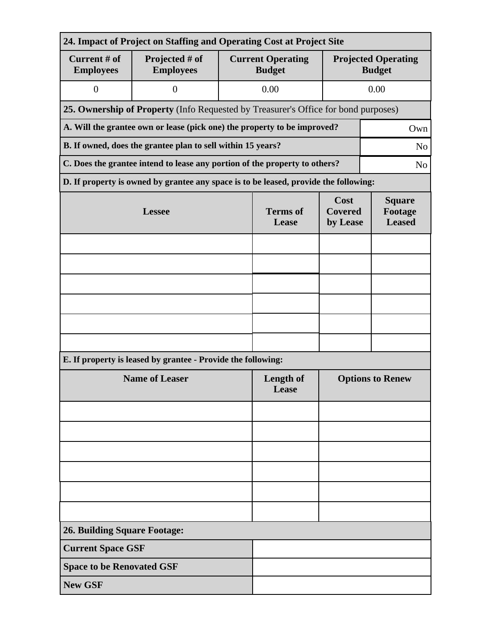| 24. Impact of Project on Staffing and Operating Cost at Project Site            |                                                                                              |                          |                                           |                                             |      |  |  |  |  |
|---------------------------------------------------------------------------------|----------------------------------------------------------------------------------------------|--------------------------|-------------------------------------------|---------------------------------------------|------|--|--|--|--|
| Current # of<br><b>Employees</b>                                                | Projected # of<br><b>Employees</b>                                                           |                          | <b>Current Operating</b><br><b>Budget</b> | <b>Projected Operating</b><br><b>Budget</b> |      |  |  |  |  |
| $\boldsymbol{0}$                                                                | $\overline{0}$                                                                               |                          | 0.00                                      |                                             | 0.00 |  |  |  |  |
|                                                                                 | 25. Ownership of Property (Info Requested by Treasurer's Office for bond purposes)           |                          |                                           |                                             |      |  |  |  |  |
| A. Will the grantee own or lease (pick one) the property to be improved?<br>Own |                                                                                              |                          |                                           |                                             |      |  |  |  |  |
| B. If owned, does the grantee plan to sell within 15 years?<br>N <sub>o</sub>   |                                                                                              |                          |                                           |                                             |      |  |  |  |  |
|                                                                                 | C. Does the grantee intend to lease any portion of the property to others?<br>N <sub>0</sub> |                          |                                           |                                             |      |  |  |  |  |
|                                                                                 | D. If property is owned by grantee any space is to be leased, provide the following:         |                          |                                           |                                             |      |  |  |  |  |
|                                                                                 | <b>Lessee</b>                                                                                | <b>Terms</b> of<br>Lease | Cost<br><b>Covered</b><br>by Lease        | <b>Square</b><br>Footage<br><b>Leased</b>   |      |  |  |  |  |
|                                                                                 |                                                                                              |                          |                                           |                                             |      |  |  |  |  |
|                                                                                 |                                                                                              |                          |                                           |                                             |      |  |  |  |  |
|                                                                                 |                                                                                              |                          |                                           |                                             |      |  |  |  |  |
|                                                                                 |                                                                                              |                          |                                           |                                             |      |  |  |  |  |
|                                                                                 |                                                                                              |                          |                                           |                                             |      |  |  |  |  |
|                                                                                 |                                                                                              |                          |                                           |                                             |      |  |  |  |  |
|                                                                                 | E. If property is leased by grantee - Provide the following:                                 |                          |                                           |                                             |      |  |  |  |  |
|                                                                                 | <b>Name of Leaser</b>                                                                        | Length of<br>Lease       | <b>Options to Renew</b>                   |                                             |      |  |  |  |  |
|                                                                                 |                                                                                              |                          |                                           |                                             |      |  |  |  |  |
|                                                                                 |                                                                                              |                          |                                           |                                             |      |  |  |  |  |
|                                                                                 |                                                                                              |                          |                                           |                                             |      |  |  |  |  |
|                                                                                 |                                                                                              |                          |                                           |                                             |      |  |  |  |  |
|                                                                                 |                                                                                              |                          |                                           |                                             |      |  |  |  |  |
|                                                                                 |                                                                                              |                          |                                           |                                             |      |  |  |  |  |
| <b>26. Building Square Footage:</b>                                             |                                                                                              |                          |                                           |                                             |      |  |  |  |  |
| <b>Current Space GSF</b>                                                        |                                                                                              |                          |                                           |                                             |      |  |  |  |  |
| <b>Space to be Renovated GSF</b>                                                |                                                                                              |                          |                                           |                                             |      |  |  |  |  |
| <b>New GSF</b>                                                                  |                                                                                              |                          |                                           |                                             |      |  |  |  |  |